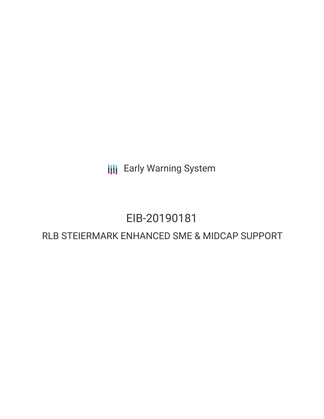**III** Early Warning System

# EIB-20190181

# RLB STEIERMARK ENHANCED SME & MIDCAP SUPPORT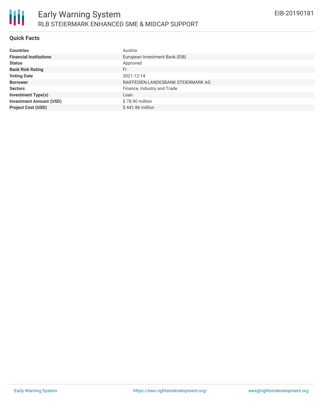

# **Quick Facts**

| <b>Countries</b>               | Austria                             |
|--------------------------------|-------------------------------------|
| <b>Financial Institutions</b>  | European Investment Bank (EIB)      |
| <b>Status</b>                  | Approved                            |
| <b>Bank Risk Rating</b>        | FI                                  |
| <b>Voting Date</b>             | 2021-12-14                          |
| <b>Borrower</b>                | RAIFFEISEN-LANDESBANK STEIERMARK AG |
| <b>Sectors</b>                 | Finance, Industry and Trade         |
| <b>Investment Type(s)</b>      | Loan                                |
| <b>Investment Amount (USD)</b> | \$78.90 million                     |
| <b>Project Cost (USD)</b>      | $$441.86$ million                   |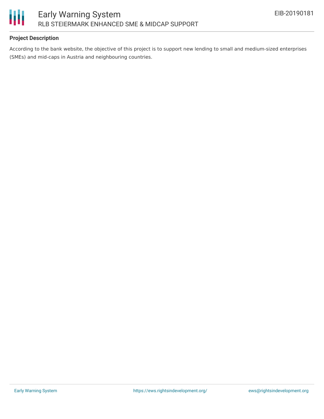

# **Project Description**

According to the bank website, the objective of this project is to support new lending to small and medium-sized enterprises (SMEs) and mid-caps in Austria and neighbouring countries.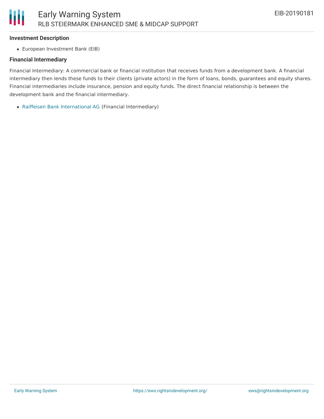#### **Investment Description**

Ш

European Investment Bank (EIB)

#### **Financial Intermediary**

Financial Intermediary: A commercial bank or financial institution that receives funds from a development bank. A financial intermediary then lends these funds to their clients (private actors) in the form of loans, bonds, guarantees and equity shares. Financial intermediaries include insurance, pension and equity funds. The direct financial relationship is between the development bank and the financial intermediary.

Raiffeisen Bank [International](file:///actor/416/) AG (Financial Intermediary)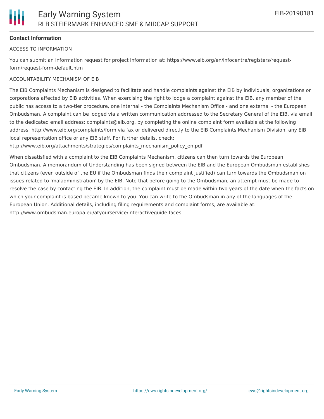# **Contact Information**

#### ACCESS TO INFORMATION

You can submit an information request for project information at: https://www.eib.org/en/infocentre/registers/requestform/request-form-default.htm

#### ACCOUNTABILITY MECHANISM OF EIB

The EIB Complaints Mechanism is designed to facilitate and handle complaints against the EIB by individuals, organizations or corporations affected by EIB activities. When exercising the right to lodge a complaint against the EIB, any member of the public has access to a two-tier procedure, one internal - the Complaints Mechanism Office - and one external - the European Ombudsman. A complaint can be lodged via a written communication addressed to the Secretary General of the EIB, via email to the dedicated email address: complaints@eib.org, by completing the online complaint form available at the following address: http://www.eib.org/complaints/form via fax or delivered directly to the EIB Complaints Mechanism Division, any EIB local representation office or any EIB staff. For further details, check:

http://www.eib.org/attachments/strategies/complaints\_mechanism\_policy\_en.pdf

When dissatisfied with a complaint to the EIB Complaints Mechanism, citizens can then turn towards the European Ombudsman. A memorandum of Understanding has been signed between the EIB and the European Ombudsman establishes that citizens (even outside of the EU if the Ombudsman finds their complaint justified) can turn towards the Ombudsman on issues related to 'maladministration' by the EIB. Note that before going to the Ombudsman, an attempt must be made to resolve the case by contacting the EIB. In addition, the complaint must be made within two years of the date when the facts on which your complaint is based became known to you. You can write to the Ombudsman in any of the languages of the European Union. Additional details, including filing requirements and complaint forms, are available at: http://www.ombudsman.europa.eu/atyourservice/interactiveguide.faces